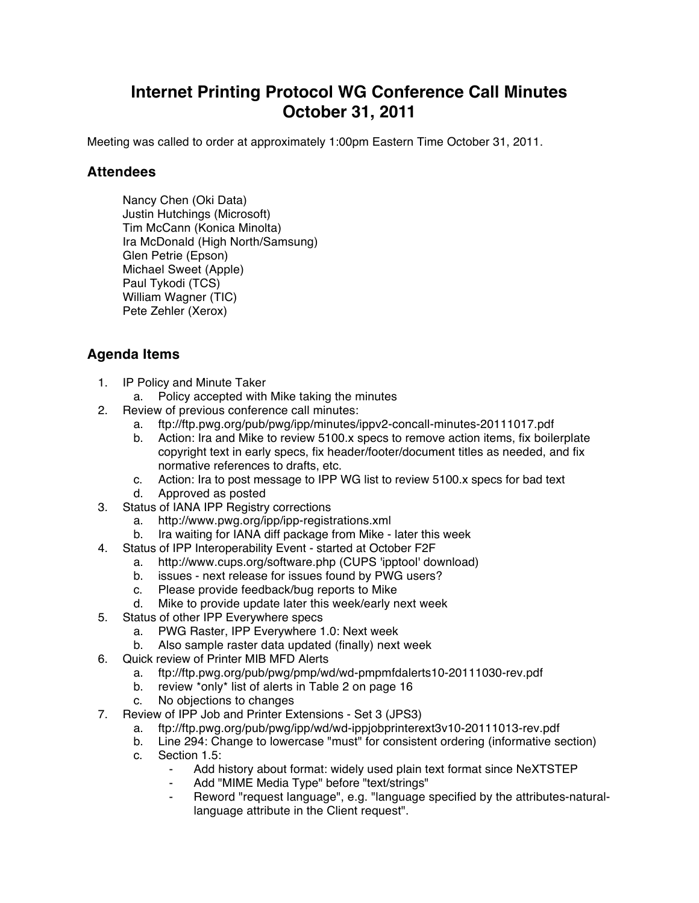## **Internet Printing Protocol WG Conference Call Minutes October 31, 2011**

Meeting was called to order at approximately 1:00pm Eastern Time October 31, 2011.

## **Attendees**

Nancy Chen (Oki Data) Justin Hutchings (Microsoft) Tim McCann (Konica Minolta) Ira McDonald (High North/Samsung) Glen Petrie (Epson) Michael Sweet (Apple) Paul Tykodi (TCS) William Wagner (TIC) Pete Zehler (Xerox)

## **Agenda Items**

- 1. IP Policy and Minute Taker
	- a. Policy accepted with Mike taking the minutes
- 2. Review of previous conference call minutes:
	- a. ftp://ftp.pwg.org/pub/pwg/ipp/minutes/ippv2-concall-minutes-20111017.pdf
	- b. Action: Ira and Mike to review 5100.x specs to remove action items, fix boilerplate copyright text in early specs, fix header/footer/document titles as needed, and fix normative references to drafts, etc.
	- c. Action: Ira to post message to IPP WG list to review 5100.x specs for bad text
	- d. Approved as posted
- 3. Status of IANA IPP Registry corrections
	- a. http://www.pwg.org/ipp/ipp-registrations.xml
	- b. Ira waiting for IANA diff package from Mike later this week
- 4. Status of IPP Interoperability Event started at October F2F
	- a. http://www.cups.org/software.php (CUPS 'ipptool' download)
	- b. issues next release for issues found by PWG users?
	- c. Please provide feedback/bug reports to Mike
	- d. Mike to provide update later this week/early next week
- 5. Status of other IPP Everywhere specs
	- a. PWG Raster, IPP Everywhere 1.0: Next week
	- b. Also sample raster data updated (finally) next week
- 6. Quick review of Printer MIB MFD Alerts
	- a. ftp://ftp.pwg.org/pub/pwg/pmp/wd/wd-pmpmfdalerts10-20111030-rev.pdf
	- b. review \*only\* list of alerts in Table 2 on page 16
	- c. No objections to changes
- 7. Review of IPP Job and Printer Extensions Set 3 (JPS3)
	- a. ftp://ftp.pwg.org/pub/pwg/ipp/wd/wd-ippjobprinterext3v10-20111013-rev.pdf
	- b. Line 294: Change to lowercase "must" for consistent ordering (informative section)
	- c. Section 1.5:
		- Add history about format: widely used plain text format since NeXTSTEP
		- Add "MIME Media Type" before "text/strings"
		- ⁃ Reword "request language", e.g. "language specified by the attributes-naturallanguage attribute in the Client request".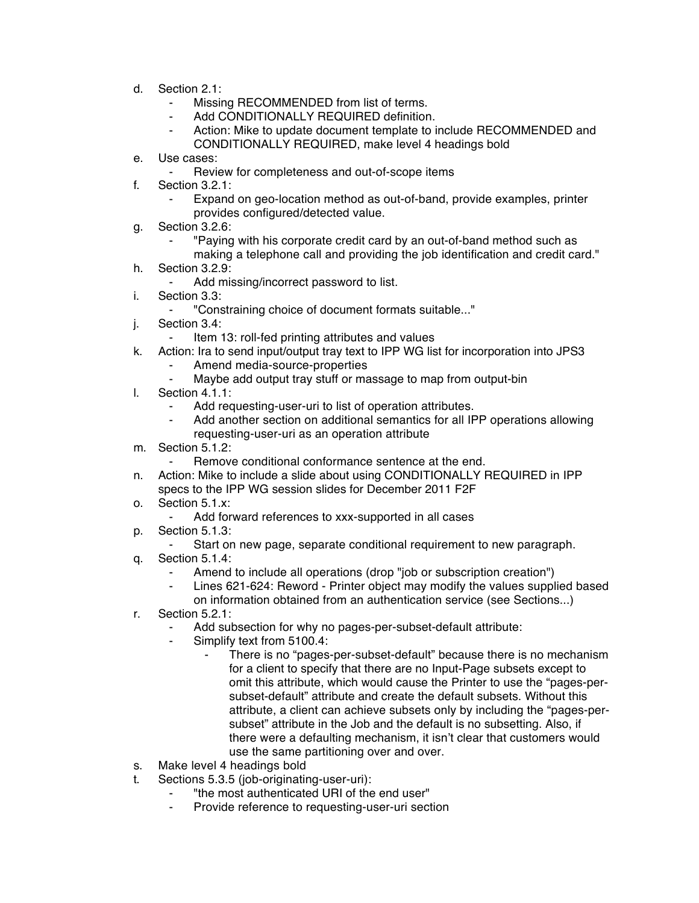- d. Section 2.1:
	- Missing RECOMMENDED from list of terms.
	- ⁃ Add CONDITIONALLY REQUIRED definition.
	- Action: Mike to update document template to include RECOMMENDED and CONDITIONALLY REQUIRED, make level 4 headings bold
- e. Use cases:
	- ⁃ Review for completeness and out-of-scope items
- f. Section 3.2.1:
	- Expand on geo-location method as out-of-band, provide examples, printer provides configured/detected value.
- g. Section 3.2.6:
	- ⁃ "Paying with his corporate credit card by an out-of-band method such as making a telephone call and providing the job identification and credit card."
- h. Section 3.2.9:
	- Add missing/incorrect password to list.
- i. Section 3.3:
	- ⁃ "Constraining choice of document formats suitable..."
- j. Section 3.4:
	- Item 13: roll-fed printing attributes and values
- k. Action: Ira to send input/output tray text to IPP WG list for incorporation into JPS3
	- Amend media-source-properties
		- Maybe add output tray stuff or massage to map from output-bin
- l. Section 4.1.1:
	- Add requesting-user-uri to list of operation attributes.
	- Add another section on additional semantics for all IPP operations allowing requesting-user-uri as an operation attribute
- m. Section 5.1.2:
	- Remove conditional conformance sentence at the end.
- n. Action: Mike to include a slide about using CONDITIONALLY REQUIRED in IPP specs to the IPP WG session slides for December 2011 F2F
- o. Section 5.1.x:
	- Add forward references to xxx-supported in all cases
- p. Section 5.1.3:
	- ⁃ Start on new page, separate conditional requirement to new paragraph.
- q. Section 5.1.4:
	- Amend to include all operations (drop "job or subscription creation")
	- ⁃ Lines 621-624: Reword Printer object may modify the values supplied based on information obtained from an authentication service (see Sections...)
- r. Section 5.2.1:
	- Add subsection for why no pages-per-subset-default attribute:
	- Simplify text from 5100.4:
		- There is no "pages-per-subset-default" because there is no mechanism for a client to specify that there are no Input-Page subsets except to omit this attribute, which would cause the Printer to use the "pages-persubset-default" attribute and create the default subsets. Without this attribute, a client can achieve subsets only by including the "pages-persubset" attribute in the Job and the default is no subsetting. Also, if there were a defaulting mechanism, it isn't clear that customers would use the same partitioning over and over.
- s. Make level 4 headings bold
- t. Sections 5.3.5 (job-originating-user-uri):
	- "the most authenticated URI of the end user"
	- Provide reference to requesting-user-uri section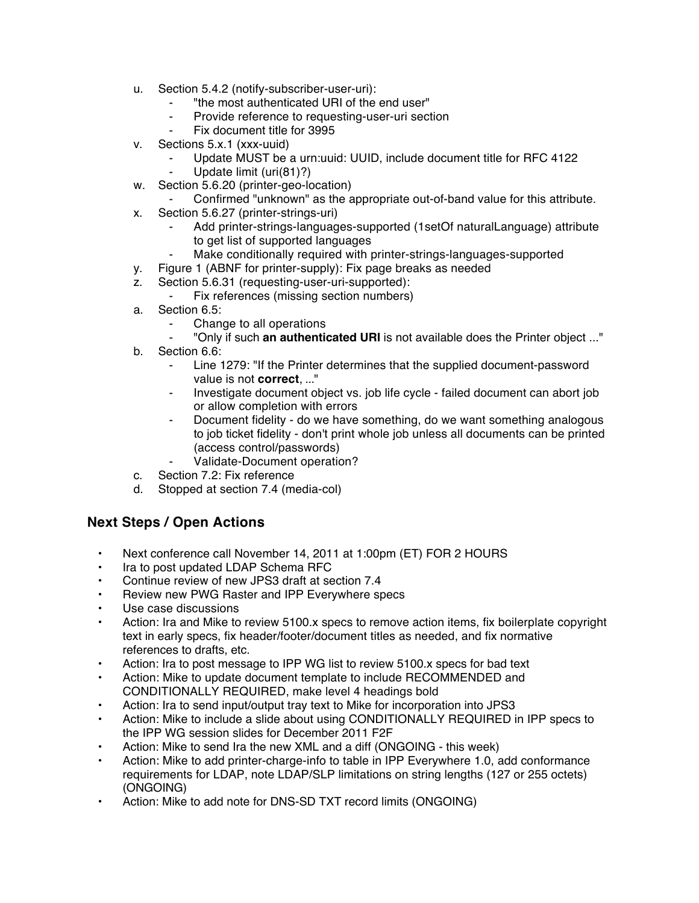- u. Section 5.4.2 (notify-subscriber-user-uri):
	- "the most authenticated URI of the end user"
	- ⁃ Provide reference to requesting-user-uri section
	- Fix document title for 3995
- v. Sections 5.x.1 (xxx-uuid)
	- Update MUST be a urn:uuid: UUID, include document title for RFC 4122
	- Update limit (uri(81)?)
- w. Section 5.6.20 (printer-geo-location)
	- Confirmed "unknown" as the appropriate out-of-band value for this attribute.
- x. Section 5.6.27 (printer-strings-uri)
	- Add printer-strings-languages-supported (1setOf naturalLanguage) attribute to get list of supported languages
	- ⁃ Make conditionally required with printer-strings-languages-supported
- y. Figure 1 (ABNF for printer-supply): Fix page breaks as needed
- z. Section 5.6.31 (requesting-user-uri-supported):
	- Fix references (missing section numbers)
- a. Section 6.5:
	- Change to all operations
	- ⁃ "Only if such **an authenticated URI** is not available does the Printer object ..."
- b. Section 6.6:
	- Line 1279: "If the Printer determines that the supplied document-password value is not **correct**, ..."
	- ⁃ Investigate document object vs. job life cycle failed document can abort job or allow completion with errors
	- Document fidelity do we have something, do we want something analogous to job ticket fidelity - don't print whole job unless all documents can be printed (access control/passwords)
	- Validate-Document operation?
- c. Section 7.2: Fix reference
- d. Stopped at section 7.4 (media-col)

## **Next Steps / Open Actions**

- Next conference call November 14, 2011 at 1:00pm (ET) FOR 2 HOURS
- Ira to post updated LDAP Schema RFC
- Continue review of new JPS3 draft at section 7.4
- Review new PWG Raster and IPP Everywhere specs
- Use case discussions
- Action: Ira and Mike to review 5100.x specs to remove action items, fix boilerplate copyright text in early specs, fix header/footer/document titles as needed, and fix normative references to drafts, etc.
- Action: Ira to post message to IPP WG list to review 5100.x specs for bad text
- Action: Mike to update document template to include RECOMMENDED and CONDITIONALLY REQUIRED, make level 4 headings bold
- Action: Ira to send input/output tray text to Mike for incorporation into JPS3
- Action: Mike to include a slide about using CONDITIONALLY REQUIRED in IPP specs to the IPP WG session slides for December 2011 F2F
- Action: Mike to send Ira the new XML and a diff (ONGOING this week)
- Action: Mike to add printer-charge-info to table in IPP Everywhere 1.0, add conformance requirements for LDAP, note LDAP/SLP limitations on string lengths (127 or 255 octets) (ONGOING)
- Action: Mike to add note for DNS-SD TXT record limits (ONGOING)